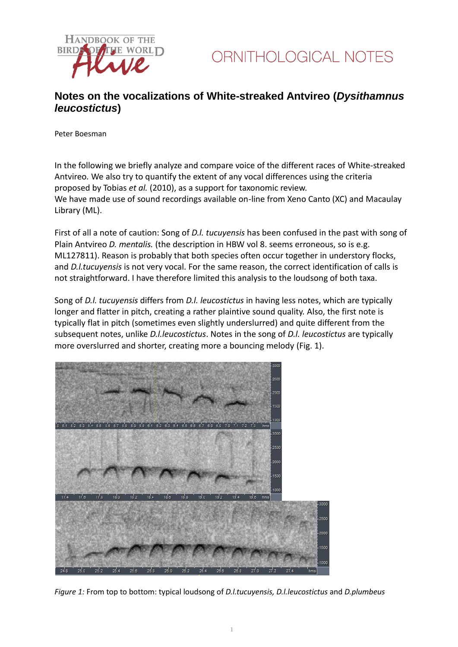



### **Notes on the vocalizations of White-streaked Antvireo (***Dysithamnus leucostictus***)**

Peter Boesman

In the following we briefly analyze and compare voice of the different races of White-streaked Antvireo*.* We also try to quantify the extent of any vocal differences using the criteria proposed by Tobias *et al.* (2010), as a support for taxonomic review. We have made use of sound recordings available on-line from Xeno Canto (XC) and Macaulay Library (ML).

First of all a note of caution: Song of *D.l. tucuyensis* has been confused in the past with song of Plain Antvireo *D. mentalis.* (the description in HBW vol 8. seems erroneous, so is e.g. ML127811). Reason is probably that both species often occur together in understory flocks, and *D.l.tucuyensis* is not very vocal. For the same reason, the correct identification of calls is not straightforward. I have therefore limited this analysis to the loudsong of both taxa.

Song of *D.l. tucuyensis* differs from *D.l. leucostictus* in having less notes, which are typically longer and flatter in pitch, creating a rather plaintive sound quality. Also, the first note is typically flat in pitch (sometimes even slightly underslurred) and quite different from the subsequent notes, unlike *D.l.leucostictus*. Notes in the song of *D.l. leucostictus* are typically more overslurred and shorter, creating more a bouncing melody (Fig. 1).



*Figure 1:* From top to bottom: typical loudsong of *D.l.tucuyensis, D.l.leucostictus* and *D.plumbeus*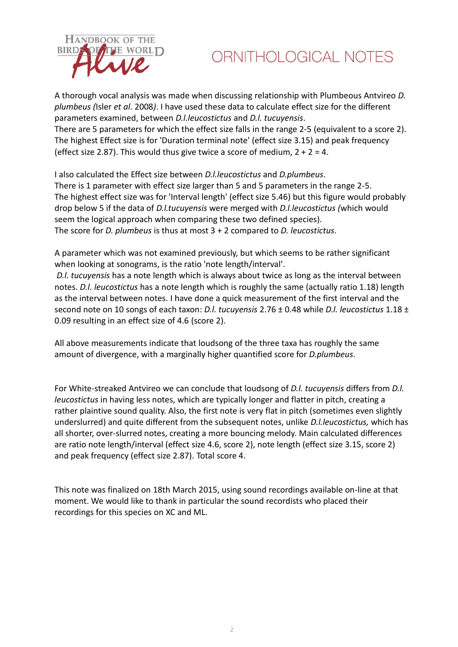

# ORNITHOLOGICAL NOTES

A thorough vocal analysis was made when discussing relationship with Plumbeous Antvireo *D. plumbeus (*Isler *et al*. 2008*)*. I have used these data to calculate effect size for the different parameters examined, between *D.l.leucostictus* and *D.l. tucuyensis*. There are 5 parameters for which the effect size falls in the range 2-5 (equivalent to a score 2). The highest Effect size is for 'Duration terminal note' (effect size 3.15) and peak frequency (effect size 2.87). This would thus give twice a score of medium,  $2 + 2 = 4$ .

I also calculated the Effect size between *D.l.leucostictus* and *D.plumbeus*. There is 1 parameter with effect size larger than 5 and 5 parameters in the range 2-5. The highest effect size was for 'Interval length' (effect size 5.46) but this figure would probably drop below 5 if the data of *D.l.tucuyensis* were merged with *D.l.leucostictus (*which would seem the logical approach when comparing these two defined species). The score for *D. plumbeus* is thus at most 3 + 2 compared to *D. leucostictus*.

A parameter which was not examined previously, but which seems to be rather significant when looking at sonograms, is the ratio 'note length/interval'.

*D.l. tucuyensis* has a note length which is always about twice as long as the interval between notes. *D.l. leucostictus* has a note length which is roughly the same (actually ratio 1.18) length as the interval between notes. I have done a quick measurement of the first interval and the second note on 10 songs of each taxon: *D.l. tucuyensis* 2.76 ± 0.48 while *D.l. leucostictus* 1.18 ± 0.09 resulting in an effect size of 4.6 (score 2).

All above measurements indicate that loudsong of the three taxa has roughly the same amount of divergence, with a marginally higher quantified score for *D.plumbeus*.

For White-streaked Antvireo we can conclude that loudsong of *D.l. tucuyensis* differs from *D.l. leucostictus* in having less notes, which are typically longer and flatter in pitch, creating a rather plaintive sound quality. Also, the first note is very flat in pitch (sometimes even slightly underslurred) and quite different from the subsequent notes, unlike *D.l.leucostictus,* which has all shorter, over-slurred notes, creating a more bouncing melody. Main calculated differences are ratio note length/interval (effect size 4.6, score 2), note length (effect size 3.15, score 2) and peak frequency (effect size 2.87). Total score 4.

This note was finalized on 18th March 2015, using sound recordings available on-line at that moment. We would like to thank in particular the sound recordists who placed their recordings for this species on XC and ML.